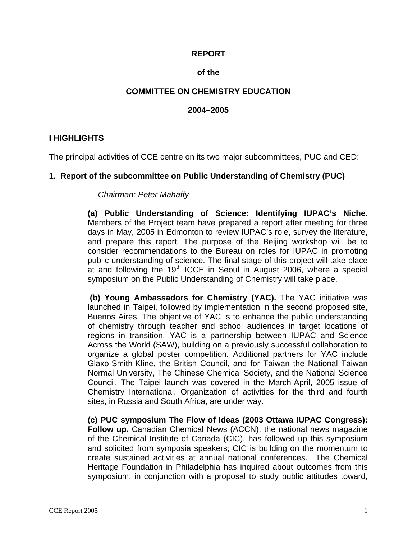#### **REPORT**

#### **of the**

#### **COMMITTEE ON CHEMISTRY EDUCATION**

#### **2004–2005**

#### **I HIGHLIGHTS**

The principal activities of CCE centre on its two major subcommittees, PUC and CED:

#### **1. Report of the subcommittee on Public Understanding of Chemistry (PUC)**

#### *Chairman: Peter Mahaffy*

**(a) Public Understanding of Science: Identifying IUPAC's Niche.** Members of the Project team have prepared a report after meeting for three days in May, 2005 in Edmonton to review IUPAC's role, survey the literature, and prepare this report. The purpose of the Beijing workshop will be to consider recommendations to the Bureau on roles for IUPAC in promoting public understanding of science. The final stage of this project will take place at and following the  $19<sup>th</sup>$  ICCE in Seoul in August 2006, where a special symposium on the Public Understanding of Chemistry will take place.

 **(b) Young Ambassadors for Chemistry (YAC).** The YAC initiative was launched in Taipei, followed by implementation in the second proposed site, Buenos Aires. The objective of YAC is to enhance the public understanding of chemistry through teacher and school audiences in target locations of regions in transition. YAC is a partnership between IUPAC and Science Across the World (SAW), building on a previously successful collaboration to organize a global poster competition. Additional partners for YAC include Glaxo-Smith-Kline, the British Council, and for Taiwan the National Taiwan Normal University, The Chinese Chemical Society, and the National Science Council. The Taipei launch was covered in the March-April, 2005 issue of Chemistry International. Organization of activities for the third and fourth sites, in Russia and South Africa, are under way.

**(c) PUC symposium The Flow of Ideas (2003 Ottawa IUPAC Congress): Follow up.** Canadian Chemical News (ACCN), the national news magazine of the Chemical Institute of Canada (CIC), has followed up this symposium and solicited from symposia speakers; CIC is building on the momentum to create sustained activities at annual national conferences. The Chemical Heritage Foundation in Philadelphia has inquired about outcomes from this symposium, in conjunction with a proposal to study public attitudes toward,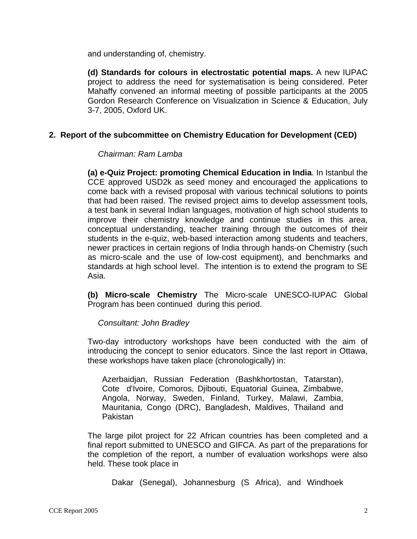and understanding of, chemistry.

**(d) Standards for colours in electrostatic potential maps.** A new IUPAC project to address the need for systematisation is being considered. Peter Mahaffy convened an informal meeting of possible participants at the 2005 Gordon Research Conference on Visualization in Science & Education, July 3-7, 2005, Oxford UK.

### **2. Report of the subcommittee on Chemistry Education for Development (CED)**

#### *Chairman: Ram Lamba*

**(a) e-Quiz Project: promoting Chemical Education in India**. In Istanbul the CCE approved USD2k as seed money and encouraged the applications to come back with a revised proposal with various technical solutions to points that had been raised. The revised project aims to develop assessment tools, a test bank in several Indian languages, motivation of high school students to improve their chemistry knowledge and continue studies in this area, conceptual understanding, teacher training through the outcomes of their students in the e-quiz, web-based interaction among students and teachers, newer practices in certain regions of India through hands-on Chemistry (such as micro-scale and the use of low-cost equipment), and benchmarks and standards at high school level. The intention is to extend the program to SE Asia.

**(b) Micro-scale Chemistry** The Micro-scale UNESCO-IUPAC Global Program has been continued during this period.

#### *Consultant: John Bradley*

Two-day introductory workshops have been conducted with the aim of introducing the concept to senior educators. Since the last report in Ottawa, these workshops have taken place (chronologically) in:

Azerbaidjan, Russian Federation (Bashkhortostan, Tatarstan), Cote d'Ivoire, Comoros, Djibouti, Equatorial Guinea, Zimbabwe, Angola, Norway, Sweden, Finland, Turkey, Malawi, Zambia, Mauritania, Congo (DRC), Bangladesh, Maldives, Thailand and Pakistan

The large pilot project for 22 African countries has been completed and a final report submitted to UNESCO and GIFCA. As part of the preparations for the completion of the report, a number of evaluation workshops were also held. These took place in

Dakar (Senegal), Johannesburg (S Africa), and Windhoek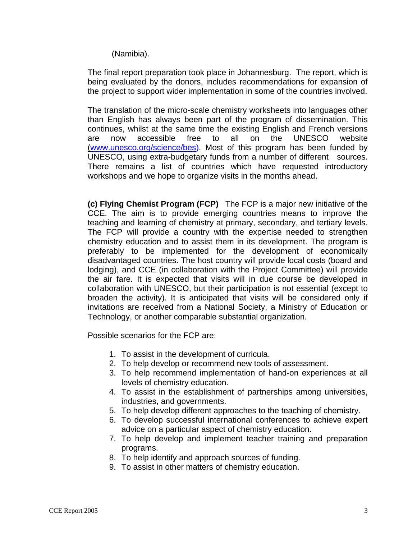(Namibia).

The final report preparation took place in Johannesburg. The report, which is being evaluated by the donors, includes recommendations for expansion of the project to support wider implementation in some of the countries involved.

The translation of the micro-scale chemistry worksheets into languages other than English has always been part of the program of dissemination. This continues, whilst at the same time the existing English and French versions are now accessible free to all on the UNESCO website (www.unesco.org/science/bes). Most of this program has been funded by UNESCO, using extra-budgetary funds from a number of different sources. There remains a list of countries which have requested introductory workshops and we hope to organize visits in the months ahead.

**(c) Flying Chemist Program (FCP)** The FCP is a major new initiative of the CCE. The aim is to provide emerging countries means to improve the teaching and learning of chemistry at primary, secondary, and tertiary levels. The FCP will provide a country with the expertise needed to strengthen chemistry education and to assist them in its development. The program is preferably to be implemented for the development of economically disadvantaged countries. The host country will provide local costs (board and lodging), and CCE (in collaboration with the Project Committee) will provide the air fare. It is expected that visits will in due course be developed in collaboration with UNESCO, but their participation is not essential (except to broaden the activity). It is anticipated that visits will be considered only if invitations are received from a National Society, a Ministry of Education or Technology, or another comparable substantial organization.

Possible scenarios for the FCP are:

- 1. To assist in the development of curricula.
- 2. To help develop or recommend new tools of assessment.
- 3. To help recommend implementation of hand-on experiences at all levels of chemistry education.
- 4. To assist in the establishment of partnerships among universities, industries, and governments.
- 5. To help develop different approaches to the teaching of chemistry.
- 6. To develop successful international conferences to achieve expert advice on a particular aspect of chemistry education.
- 7. To help develop and implement teacher training and preparation programs.
- 8. To help identify and approach sources of funding.
- 9. To assist in other matters of chemistry education.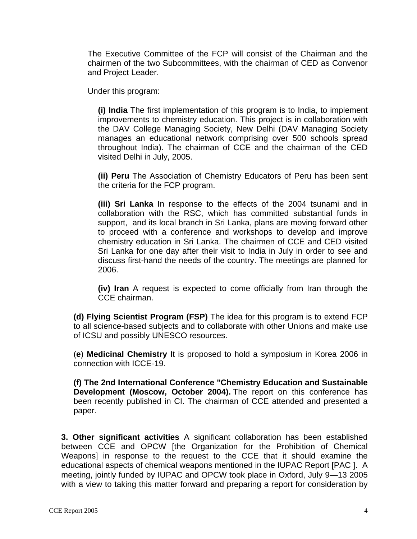The Executive Committee of the FCP will consist of the Chairman and the chairmen of the two Subcommittees, with the chairman of CED as Convenor and Project Leader.

Under this program:

**(i) India** The first implementation of this program is to India, to implement improvements to chemistry education. This project is in collaboration with the DAV College Managing Society, New Delhi (DAV Managing Society manages an educational network comprising over 500 schools spread throughout India). The chairman of CCE and the chairman of the CED visited Delhi in July, 2005.

**(ii) Peru** The Association of Chemistry Educators of Peru has been sent the criteria for the FCP program.

**(iii) Sri Lanka** In response to the effects of the 2004 tsunami and in collaboration with the RSC, which has committed substantial funds in support, and its local branch in Sri Lanka, plans are moving forward other to proceed with a conference and workshops to develop and improve chemistry education in Sri Lanka. The chairmen of CCE and CED visited Sri Lanka for one day after their visit to India in July in order to see and discuss first-hand the needs of the country. The meetings are planned for 2006.

**(iv) Iran** A request is expected to come officially from Iran through the CCE chairman.

**(d) Flying Scientist Program (FSP)** The idea for this program is to extend FCP to all science-based subjects and to collaborate with other Unions and make use of ICSU and possibly UNESCO resources.

(**e**) **Medicinal Chemistry** It is proposed to hold a symposium in Korea 2006 in connection with ICCE-19.

**(f) The 2nd International Conference "Chemistry Education and Sustainable Development (Moscow, October 2004).** The report on this conference has been recently published in CI. The chairman of CCE attended and presented a paper.

**3. Other significant activities** A significant collaboration has been established between CCE and OPCW [the Organization for the Prohibition of Chemical Weapons] in response to the request to the CCE that it should examine the educational aspects of chemical weapons mentioned in the IUPAC Report [PAC ]. A meeting, jointly funded by IUPAC and OPCW took place in Oxford, July 9—13 2005 with a view to taking this matter forward and preparing a report for consideration by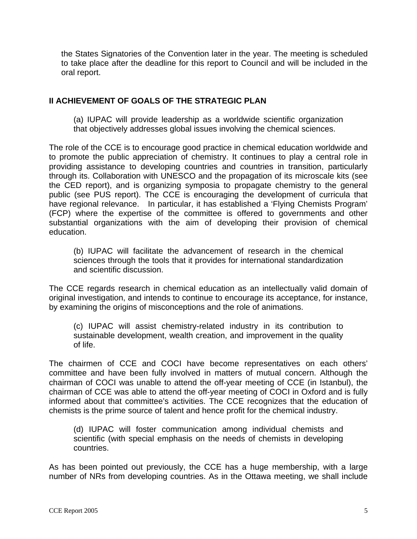the States Signatories of the Convention later in the year. The meeting is scheduled to take place after the deadline for this report to Council and will be included in the oral report.

### **II ACHIEVEMENT OF GOALS OF THE STRATEGIC PLAN**

(a) IUPAC will provide leadership as a worldwide scientific organization that objectively addresses global issues involving the chemical sciences.

The role of the CCE is to encourage good practice in chemical education worldwide and to promote the public appreciation of chemistry. It continues to play a central role in providing assistance to developing countries and countries in transition, particularly through its. Collaboration with UNESCO and the propagation of its microscale kits (see the CED report), and is organizing symposia to propagate chemistry to the general public (see PUS report). The CCE is encouraging the development of curricula that have regional relevance. In particular, it has established a 'Flying Chemists Program' (FCP) where the expertise of the committee is offered to governments and other substantial organizations with the aim of developing their provision of chemical education.

(b) IUPAC will facilitate the advancement of research in the chemical sciences through the tools that it provides for international standardization and scientific discussion.

The CCE regards research in chemical education as an intellectually valid domain of original investigation, and intends to continue to encourage its acceptance, for instance, by examining the origins of misconceptions and the role of animations.

(c) IUPAC will assist chemistry-related industry in its contribution to sustainable development, wealth creation, and improvement in the quality of life.

The chairmen of CCE and COCI have become representatives on each others' committee and have been fully involved in matters of mutual concern. Although the chairman of COCI was unable to attend the off-year meeting of CCE (in Istanbul), the chairman of CCE was able to attend the off-year meeting of COCI in Oxford and is fully informed about that committee's activities. The CCE recognizes that the education of chemists is the prime source of talent and hence profit for the chemical industry.

(d) IUPAC will foster communication among individual chemists and scientific (with special emphasis on the needs of chemists in developing countries.

As has been pointed out previously, the CCE has a huge membership, with a large number of NRs from developing countries. As in the Ottawa meeting, we shall include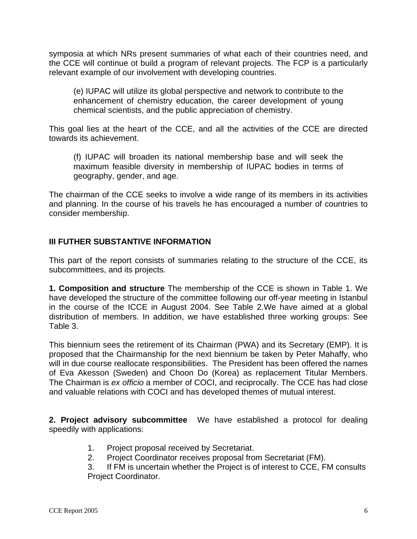symposia at which NRs present summaries of what each of their countries need, and the CCE will continue ot build a program of relevant projects. The FCP is a particularly relevant example of our involvement with developing countries.

(e) IUPAC will utilize its global perspective and network to contribute to the enhancement of chemistry education, the career development of young chemical scientists, and the public appreciation of chemistry.

This goal lies at the heart of the CCE, and all the activities of the CCE are directed towards its achievement.

(f) IUPAC will broaden its national membership base and will seek the maximum feasible diversity in membership of IUPAC bodies in terms of geography, gender, and age.

The chairman of the CCE seeks to involve a wide range of its members in its activities and planning. In the course of his travels he has encouraged a number of countries to consider membership.

## **III FUTHER SUBSTANTIVE INFORMATION**

This part of the report consists of summaries relating to the structure of the CCE, its subcommittees, and its projects.

**1. Composition and structure** The membership of the CCE is shown in Table 1. We have developed the structure of the committee following our off-year meeting in Istanbul in the course of the ICCE in August 2004. See Table 2.We have aimed at a global distribution of members. In addition, we have established three working groups: See Table 3.

This biennium sees the retirement of its Chairman (PWA) and its Secretary (EMP). It is proposed that the Chairmanship for the next biennium be taken by Peter Mahaffy, who will in due course reallocate responsibilities. The President has been offered the names of Eva Akesson (Sweden) and Choon Do (Korea) as replacement Titular Members. The Chairman is *ex officio* a member of COCI, and reciprocally. The CCE has had close and valuable relations with COCI and has developed themes of mutual interest.

**2. Project advisory subcommittee** We have established a protocol for dealing speedily with applications:

- 1. Project proposal received by Secretariat.
- 2. Project Coordinator receives proposal from Secretariat (FM).

3. If FM is uncertain whether the Project is of interest to CCE, FM consults Project Coordinator.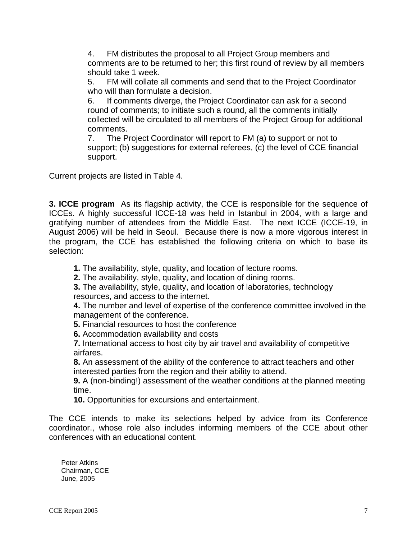4. FM distributes the proposal to all Project Group members and comments are to be returned to her; this first round of review by all members should take 1 week.

5. FM will collate all comments and send that to the Project Coordinator who will than formulate a decision.

6. If comments diverge, the Project Coordinator can ask for a second round of comments; to initiate such a round, all the comments initially collected will be circulated to all members of the Project Group for additional comments.

7. The Project Coordinator will report to FM (a) to support or not to support; (b) suggestions for external referees, (c) the level of CCE financial support.

Current projects are listed in Table 4.

**3. ICCE program** As its flagship activity, the CCE is responsible for the sequence of ICCEs. A highly successful ICCE-18 was held in Istanbul in 2004, with a large and gratifying number of attendees from the Middle East. The next ICCE (ICCE-19, in August 2006) will be held in Seoul. Because there is now a more vigorous interest in the program, the CCE has established the following criteria on which to base its selection:

**1.** The availability, style, quality, and location of lecture rooms.

**2.** The availability, style, quality, and location of dining rooms.

**3.** The availability, style, quality, and location of laboratories, technology resources, and access to the internet.

**4.** The number and level of expertise of the conference committee involved in the management of the conference.

**5.** Financial resources to host the conference

**6.** Accommodation availability and costs

**7.** International access to host city by air travel and availability of competitive airfares.

**8.** An assessment of the ability of the conference to attract teachers and other interested parties from the region and their ability to attend.

**9.** A (non-binding!) assessment of the weather conditions at the planned meeting time.

**10.** Opportunities for excursions and entertainment.

The CCE intends to make its selections helped by advice from its Conference coordinator., whose role also includes informing members of the CCE about other conferences with an educational content.

Peter Atkins Chairman, CCE June, 2005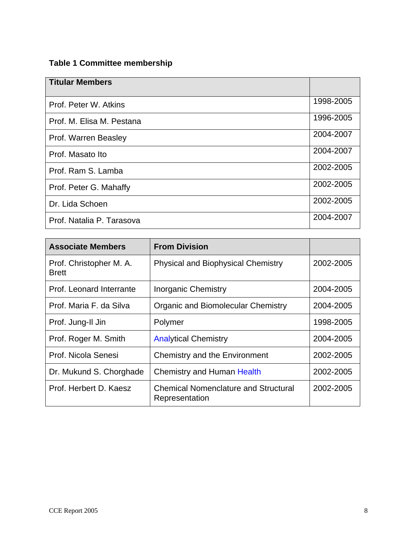# **Table 1 Committee membership**

| <b>Titular Members</b>    |           |
|---------------------------|-----------|
| Prof. Peter W. Atkins     | 1998-2005 |
| Prof. M. Elisa M. Pestana | 1996-2005 |
| Prof. Warren Beasley      | 2004-2007 |
| Prof. Masato Ito          | 2004-2007 |
| Prof. Ram S. Lamba        | 2002-2005 |
| Prof. Peter G. Mahaffy    | 2002-2005 |
| Dr. Lida Schoen           | 2002-2005 |
| Prof. Natalia P. Tarasova | 2004-2007 |

| <b>Associate Members</b>                | <b>From Division</b>                                          |           |  |
|-----------------------------------------|---------------------------------------------------------------|-----------|--|
| Prof. Christopher M. A.<br><b>Brett</b> | <b>Physical and Biophysical Chemistry</b>                     | 2002-2005 |  |
| Prof. Leonard Interrante                | Inorganic Chemistry                                           | 2004-2005 |  |
| Prof. Maria F. da Silva                 | <b>Organic and Biomolecular Chemistry</b>                     | 2004-2005 |  |
| Prof. Jung-II Jin                       | Polymer                                                       | 1998-2005 |  |
| Prof. Roger M. Smith                    | <b>Analytical Chemistry</b>                                   | 2004-2005 |  |
| Prof. Nicola Senesi                     | Chemistry and the Environment                                 | 2002-2005 |  |
| Dr. Mukund S. Chorghade                 | <b>Chemistry and Human Health</b>                             | 2002-2005 |  |
| Prof. Herbert D. Kaesz                  | <b>Chemical Nomenclature and Structural</b><br>Representation | 2002-2005 |  |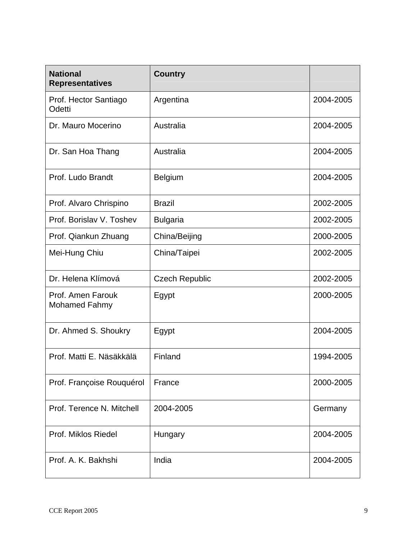| <b>National</b><br><b>Representatives</b> | <b>Country</b>        |           |  |
|-------------------------------------------|-----------------------|-----------|--|
| Prof. Hector Santiago<br>Odetti           | Argentina             | 2004-2005 |  |
| Dr. Mauro Mocerino                        | Australia             | 2004-2005 |  |
| Dr. San Hoa Thang                         | Australia             | 2004-2005 |  |
| Prof. Ludo Brandt                         | <b>Belgium</b>        | 2004-2005 |  |
| Prof. Alvaro Chrispino                    | <b>Brazil</b>         | 2002-2005 |  |
| Prof. Borislav V. Toshev                  | <b>Bulgaria</b>       | 2002-2005 |  |
| Prof. Qiankun Zhuang                      | China/Beijing         | 2000-2005 |  |
| Mei-Hung Chiu                             | China/Taipei          | 2002-2005 |  |
| Dr. Helena Klímová                        | <b>Czech Republic</b> | 2002-2005 |  |
| Prof. Amen Farouk<br>Mohamed Fahmy        | Egypt                 | 2000-2005 |  |
| Dr. Ahmed S. Shoukry                      | Egypt                 | 2004-2005 |  |
| Prof. Matti E. Näsäkkälä                  | Finland               | 1994-2005 |  |
| Prof. Françoise Rouquérol                 | France                | 2000-2005 |  |
| Prof. Terence N. Mitchell                 | 2004-2005             | Germany   |  |
| Prof. Miklos Riedel                       | Hungary               |           |  |
| Prof. A. K. Bakhshi                       | India                 | 2004-2005 |  |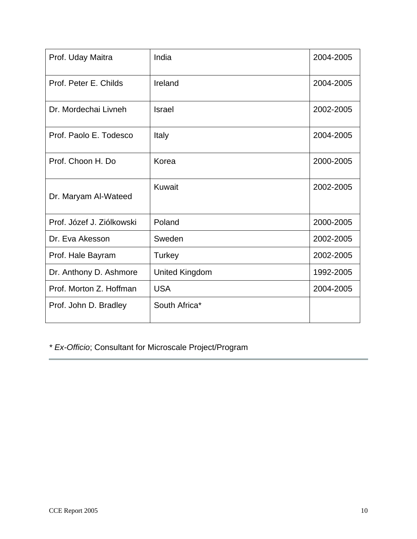| Prof. Uday Maitra         | India                 | 2004-2005 |
|---------------------------|-----------------------|-----------|
| Prof. Peter E. Childs     | Ireland               | 2004-2005 |
| Dr. Mordechai Livneh      | <b>Israel</b>         | 2002-2005 |
| Prof. Paolo E. Todesco    | Italy                 | 2004-2005 |
| Prof. Choon H. Do         | Korea                 | 2000-2005 |
| Dr. Maryam Al-Wateed      | Kuwait                | 2002-2005 |
| Prof. Józef J. Ziólkowski | Poland                | 2000-2005 |
| Dr. Eva Akesson           | Sweden                | 2002-2005 |
| Prof. Hale Bayram         | Turkey                | 2002-2005 |
| Dr. Anthony D. Ashmore    | <b>United Kingdom</b> | 1992-2005 |
| Prof. Morton Z. Hoffman   | <b>USA</b>            | 2004-2005 |
| Prof. John D. Bradley     | South Africa*         |           |

*\* Ex-Officio*; Consultant for Microscale Project/Program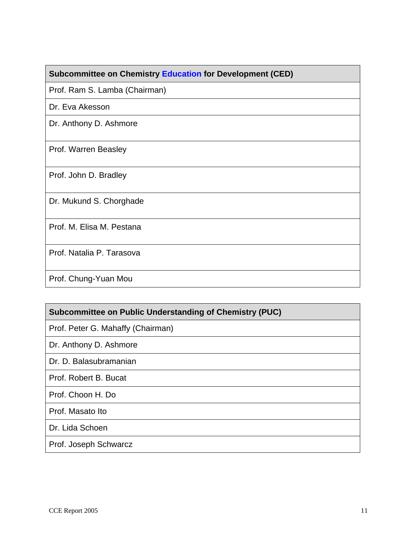### **Subcommittee on Chemistry Education for Development (CED)**

Prof. Ram S. Lamba (Chairman)

Dr. Eva Akesson

Dr. Anthony D. Ashmore

Prof. Warren Beasley

Prof. John D. Bradley

Dr. Mukund S. Chorghade

Prof. M. Elisa M. Pestana

Prof. Natalia P. Tarasova

Prof. Chung-Yuan Mou

| Subcommittee on Public Understanding of Chemistry (PUC) |  |  |  |  |
|---------------------------------------------------------|--|--|--|--|

Prof. Peter G. Mahaffy (Chairman)

Dr. Anthony D. Ashmore

Dr. D. Balasubramanian

Prof. Robert B. Bucat

Prof. Choon H. Do

Prof. Masato Ito

Dr. Lida Schoen

Prof. Joseph Schwarcz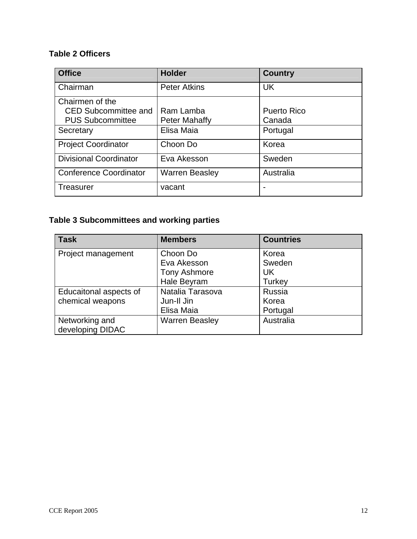## **Table 2 Officers**

| <b>Office</b>                 | <b>Holder</b>         | <b>Country</b>     |
|-------------------------------|-----------------------|--------------------|
| Chairman                      | <b>Peter Atkins</b>   | <b>UK</b>          |
| Chairmen of the               |                       |                    |
| <b>CED Subcommittee and</b>   | Ram Lamba             | <b>Puerto Rico</b> |
| <b>PUS Subcommittee</b>       | Peter Mahaffy         | Canada             |
| Secretary                     | Elisa Maia            | Portugal           |
| <b>Project Coordinator</b>    | Choon Do              | Korea              |
| <b>Divisional Coordinator</b> | Eva Akesson           | Sweden             |
| <b>Conference Coordinator</b> | <b>Warren Beasley</b> | Australia          |
| <b>Treasurer</b>              | vacant                | -                  |

# **Table 3 Subcommittees and working parties**

| <b>Task</b>            | <b>Members</b>        | <b>Countries</b> |
|------------------------|-----------------------|------------------|
| Project management     | Choon Do              | Korea            |
|                        | Eva Akesson           | Sweden           |
|                        | <b>Tony Ashmore</b>   | <b>UK</b>        |
|                        | Hale Beyram           | Turkey           |
| Educaitonal aspects of | Natalia Tarasova      | Russia           |
| chemical weapons       | Jun-II Jin            | Korea            |
|                        | Elisa Maia            | Portugal         |
| Networking and         | <b>Warren Beasley</b> | Australia        |
| developing DIDAC       |                       |                  |